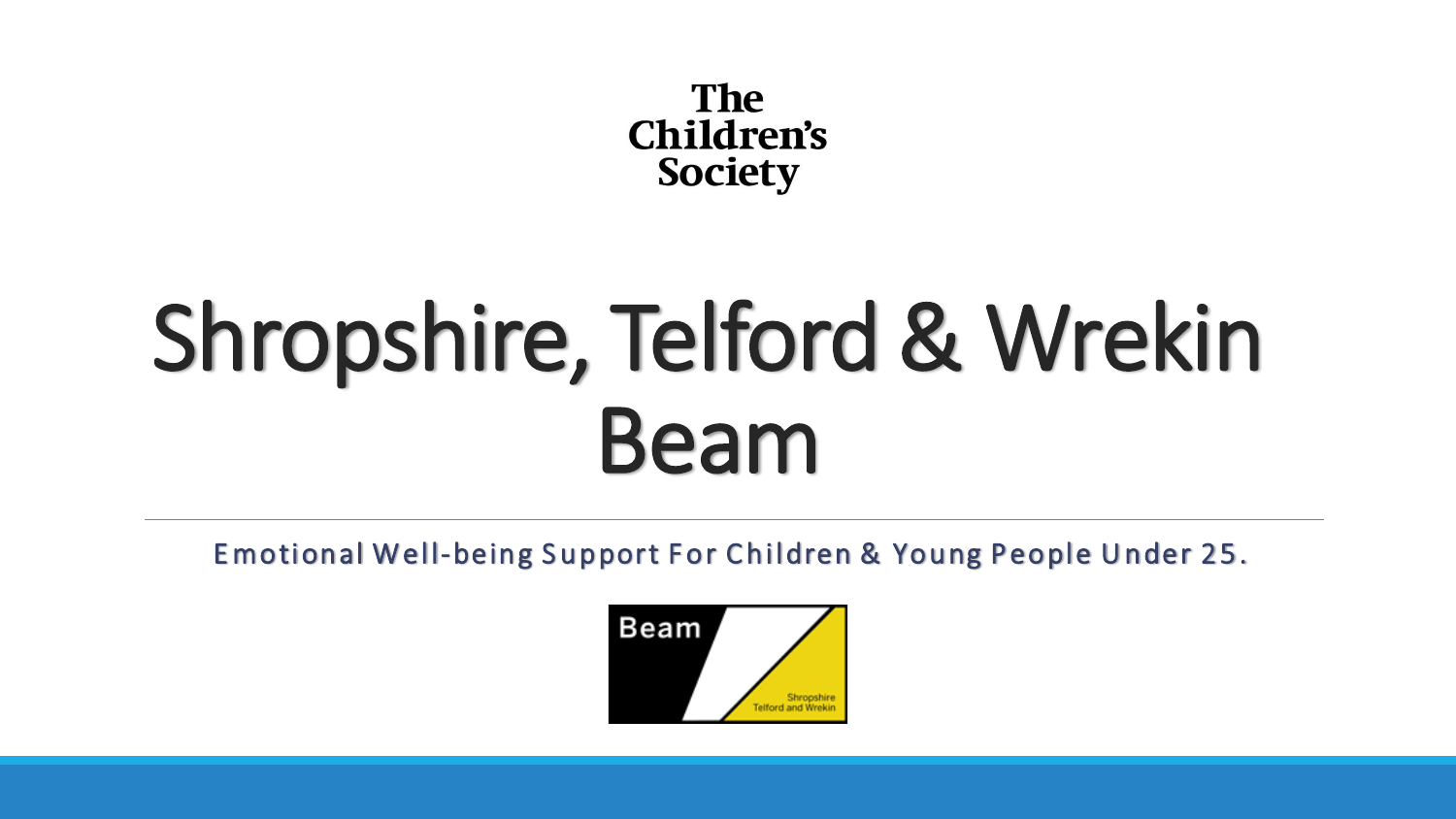**The** Children's **Society** 

# Shropshire, Telford & Wrekin Beam

Emotional Well-being Support For Children & Young People Under 25.

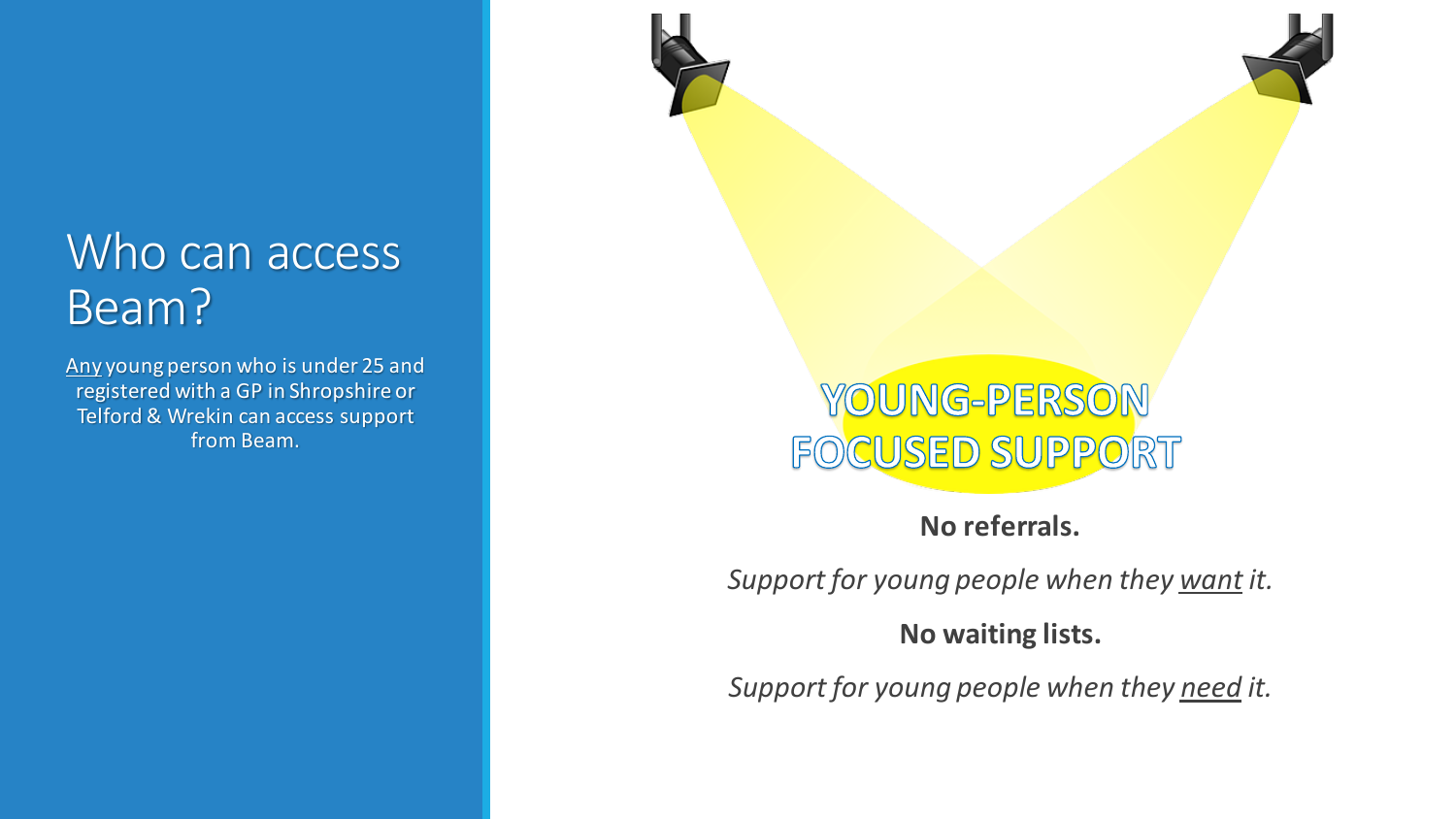#### Who can access Beam?

Any young person who is under 25 and registered with a GP in Shropshire or Telford & Wrekin can access support from Beam.



**No referrals.**

*Support for young people when they want it.*

#### **No waiting lists.**

*Support for young people when they need it.*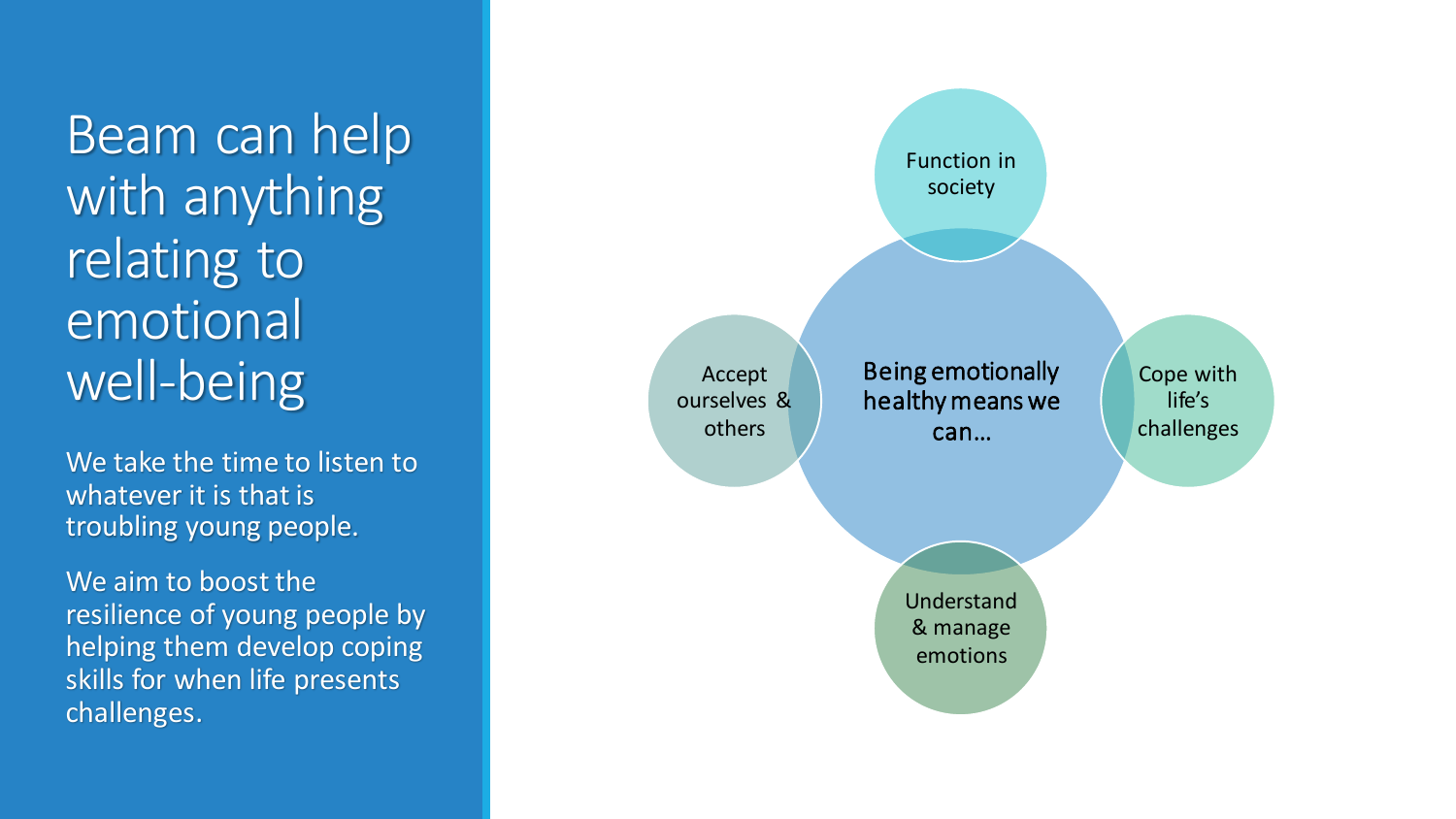Beam can help with anything relating to emotional well-being

We take the time to listen to whatever it is that is troubling young people.

We aim to boost the resilience of young people by helping them develop coping skills for when life presents challenges.

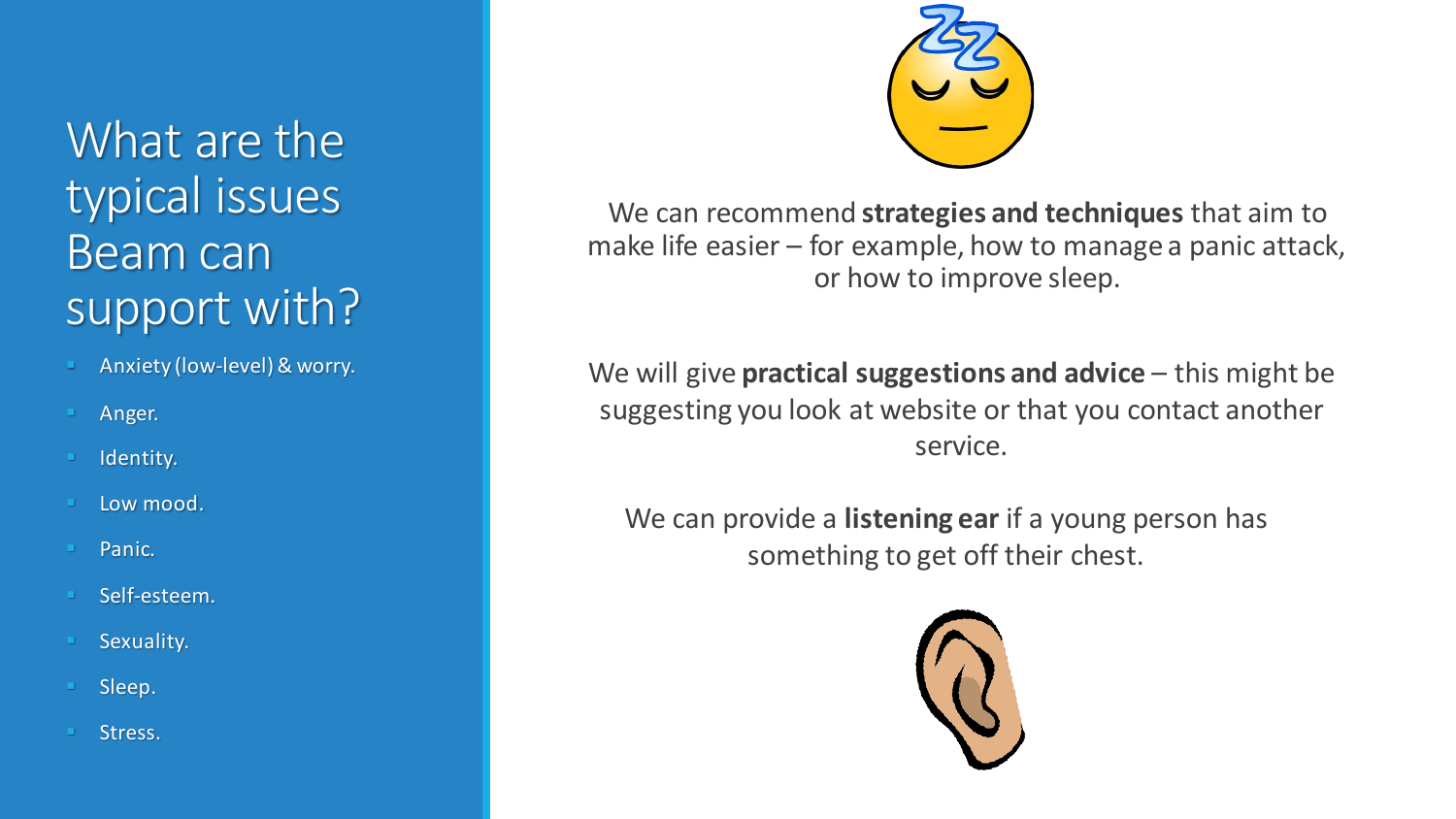What are the typical issues Beam can support with?

- Anxiety (low-level) & worry.
- Anger.
- Identity.
- Low mood.
- Panic.
- Self-esteem.
- Sexuality.
- Sleep.
- Stress.



We can recommend **strategies and techniques** that aim to make life easier – for example, how to manage a panic attack, or how to improve sleep.

We will give **practical suggestions and advice** – this might be suggesting you look at website or that you contact another service.

We can provide a **listening ear** if a young person has something to get off their chest.

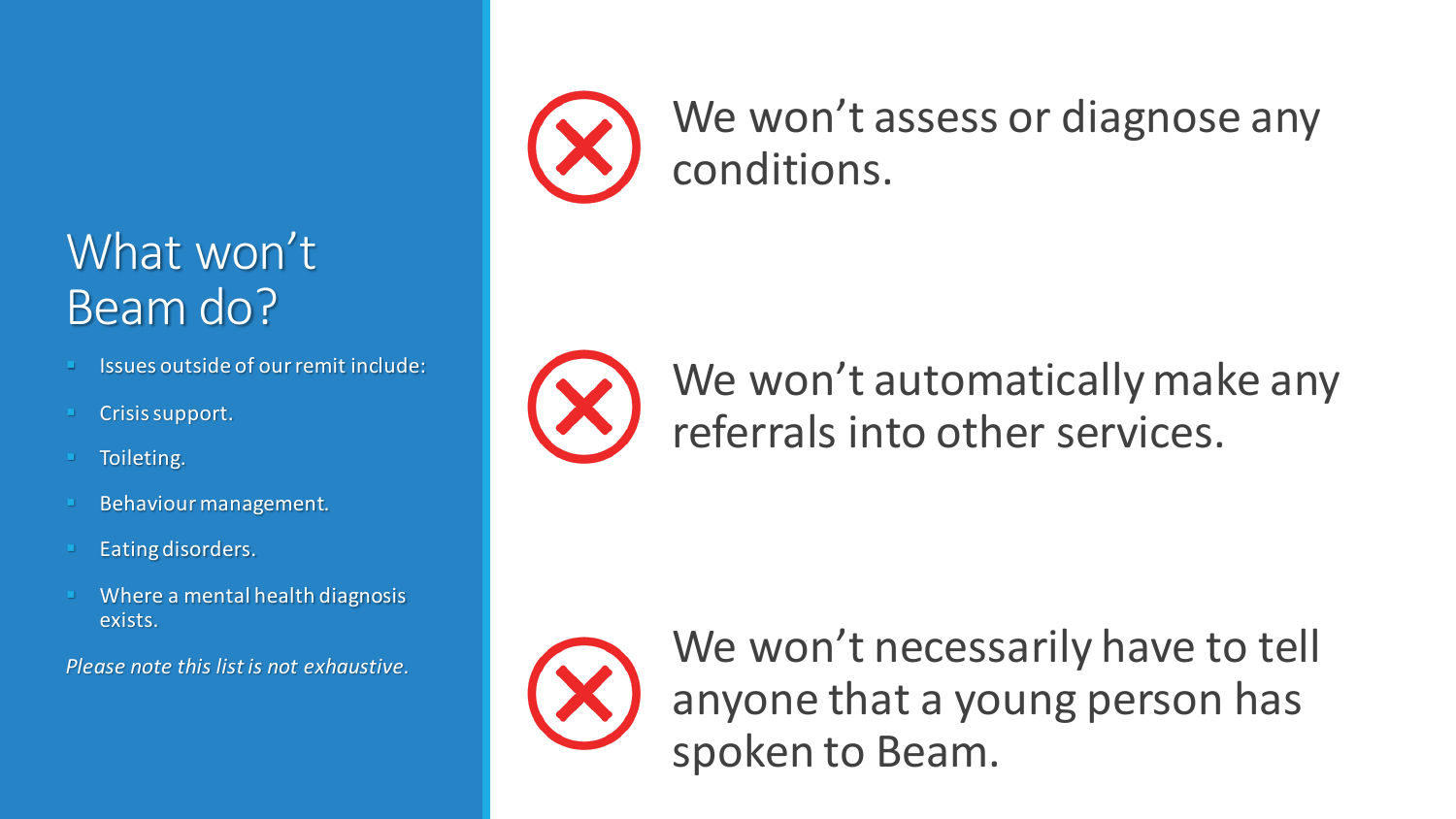#### What won't Beam do?

- Issues outside of our remit include:
- Crisis support.
- Toileting.
- Behaviour management.
- Eating disorders.
- Where a mental health diagnosis exists.

*Please note this list is not exhaustive.*



We won't assess or diagnose any conditions.



We won't automatically make any referrals into other services.



We won't necessarily have to tell anyone that a young person has spoken to Beam.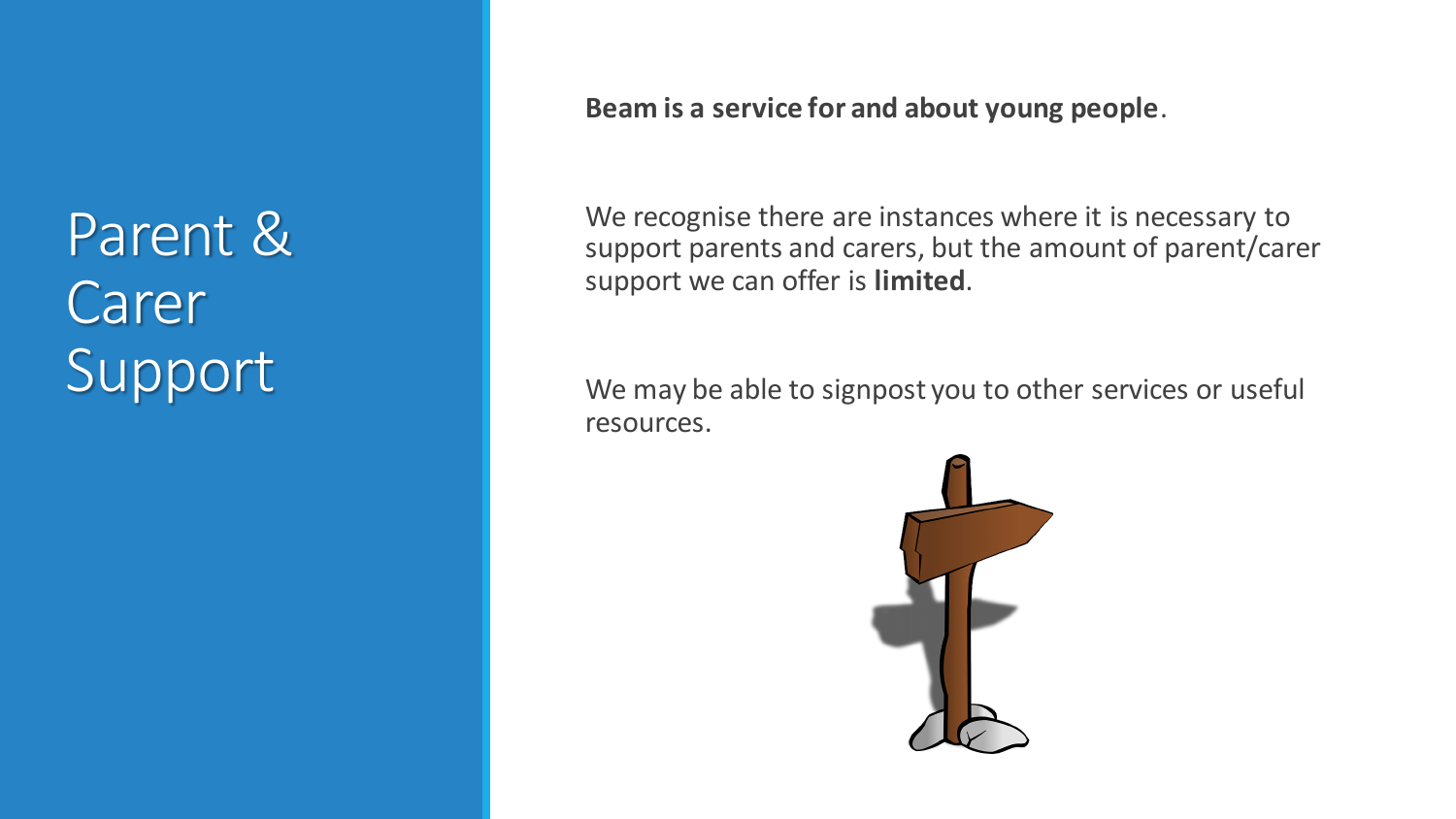Parent & Carer Support

#### **Beam is a service for and about young people**.

We recognise there are instances where it is necessary to support parents and carers, but the amount of parent/carer support we can offer is **limited**.

We may be able to signpost you to other services or useful resources.

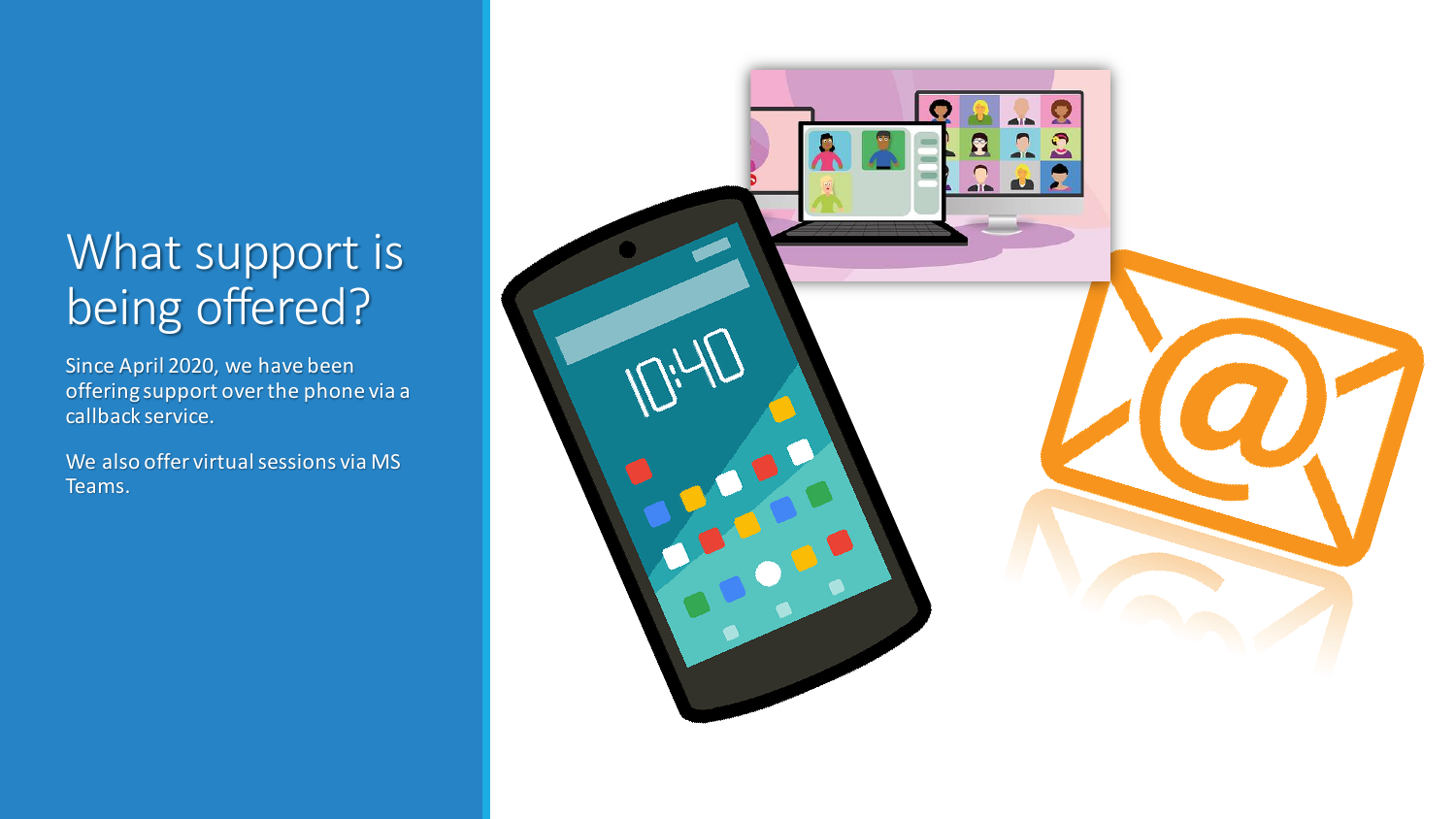### What support is being offered?

Since April 2020, we have been offering support over the phone via a callback service.

We also offer virtual sessions via MS Teams.

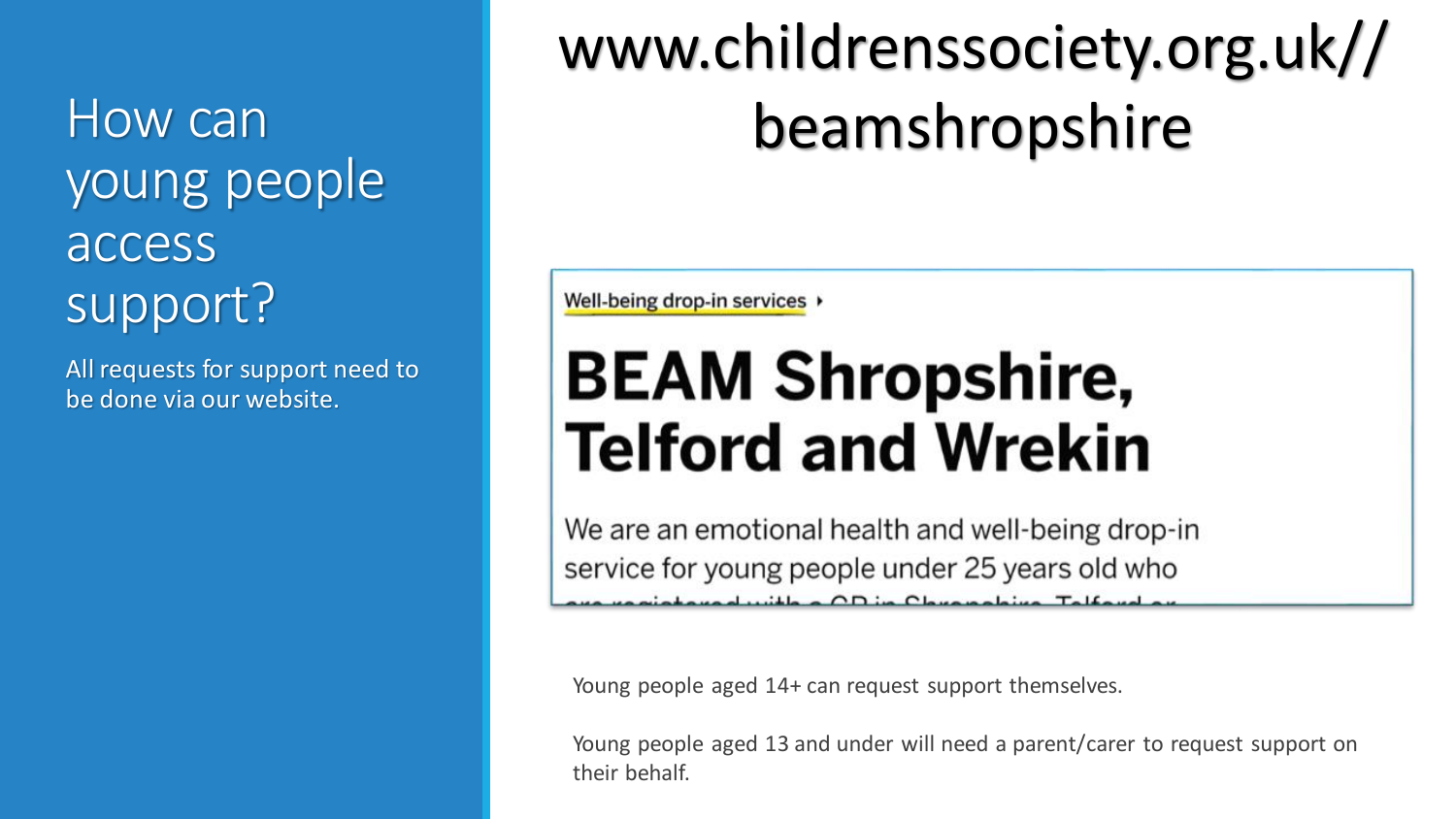How can young people access support?

All requests for support need to be done via our website.

## www.childrenssociety.org.uk// beamshropshire

Well-being drop-in services >

## **BEAM Shropshire, Telford and Wrekin**

We are an emotional health and well-being drop-in service for young people under 25 years old who taural with a OD in Chuanabius Talfar

Young people aged 14+ can request support themselves.

Young people aged 13 and under will need a parent/carer to request support on their behalf.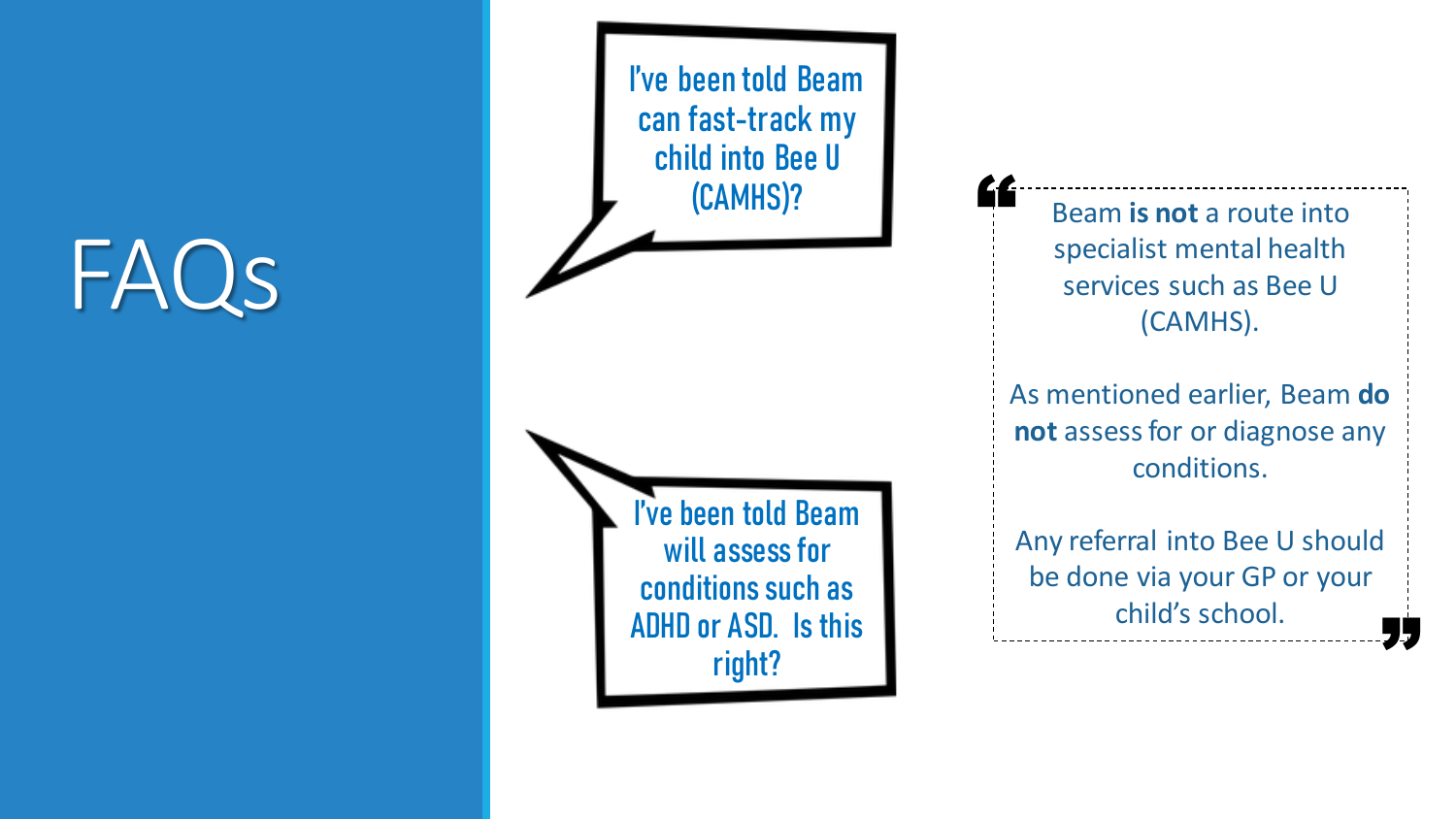I've been told Beam can fast -track my child into Bee U (CAMHS)? I've been told Beam will assess for

conditions such as

ADHD or ASD. Is this

right?

Beam **is not** a route into specialist mental health services such as Bee U (CAMHS).

"

As mentioned earlier, Beam **do not** assess for or diagnose any conditions.

Any referral into Bee U should be done via your GP or your child's school. **"**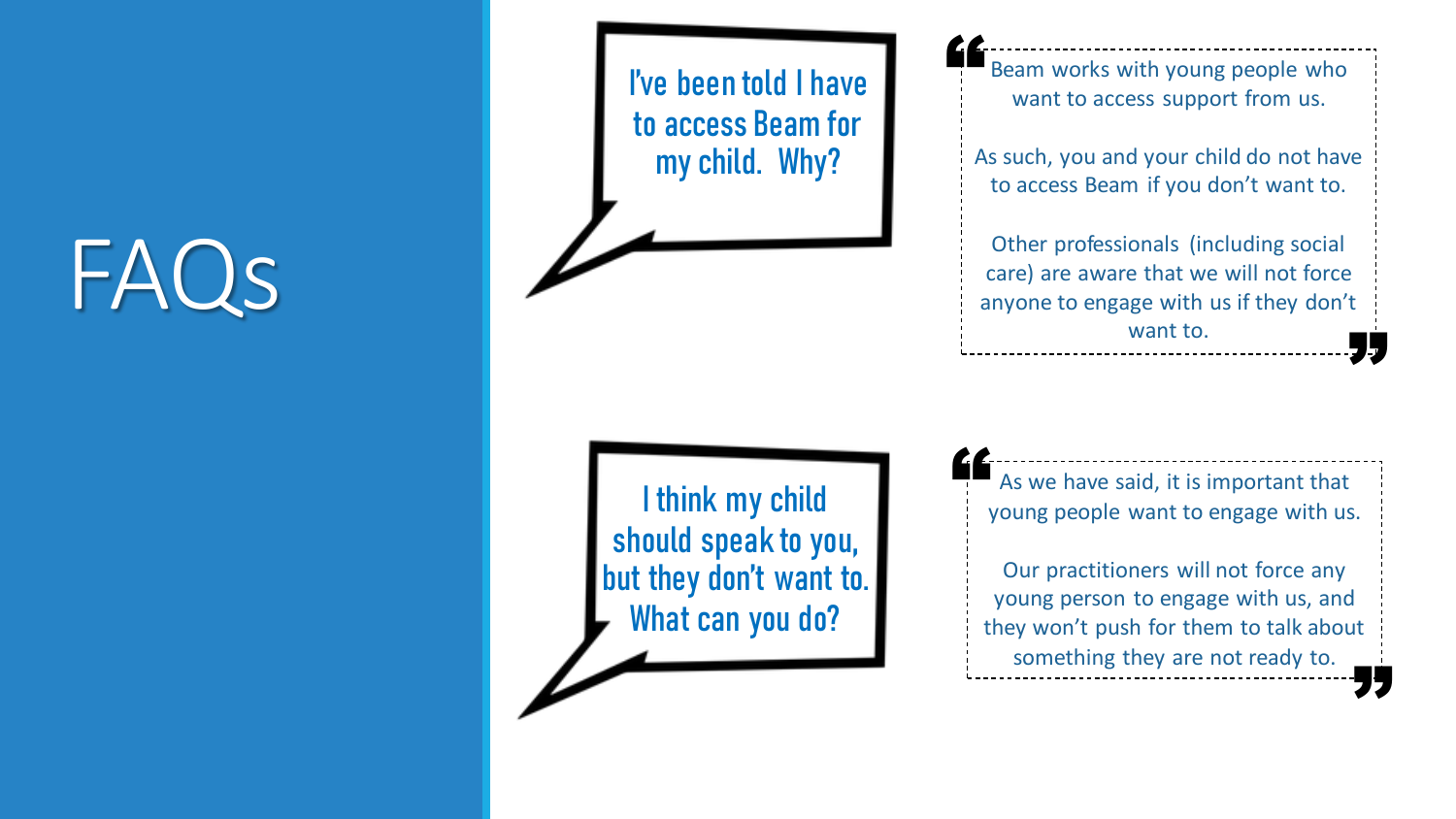I've been told I have to access Beam for my child. Why?

I think my child should speak to you, but they don't want to. What can you do?

Beam works with young people who want to access support from us.

"

As such, you and your child do not have to access Beam if you don't want to.

Other professionals (including social care) are aware that we will not force anyone to engage with us if they don't want to. **"** 

As we have said, it is important that young people want to engage with us. "

Our practitioners will not force any young person to engage with us, and they won't push for them to talk about something they are not ready to. **"**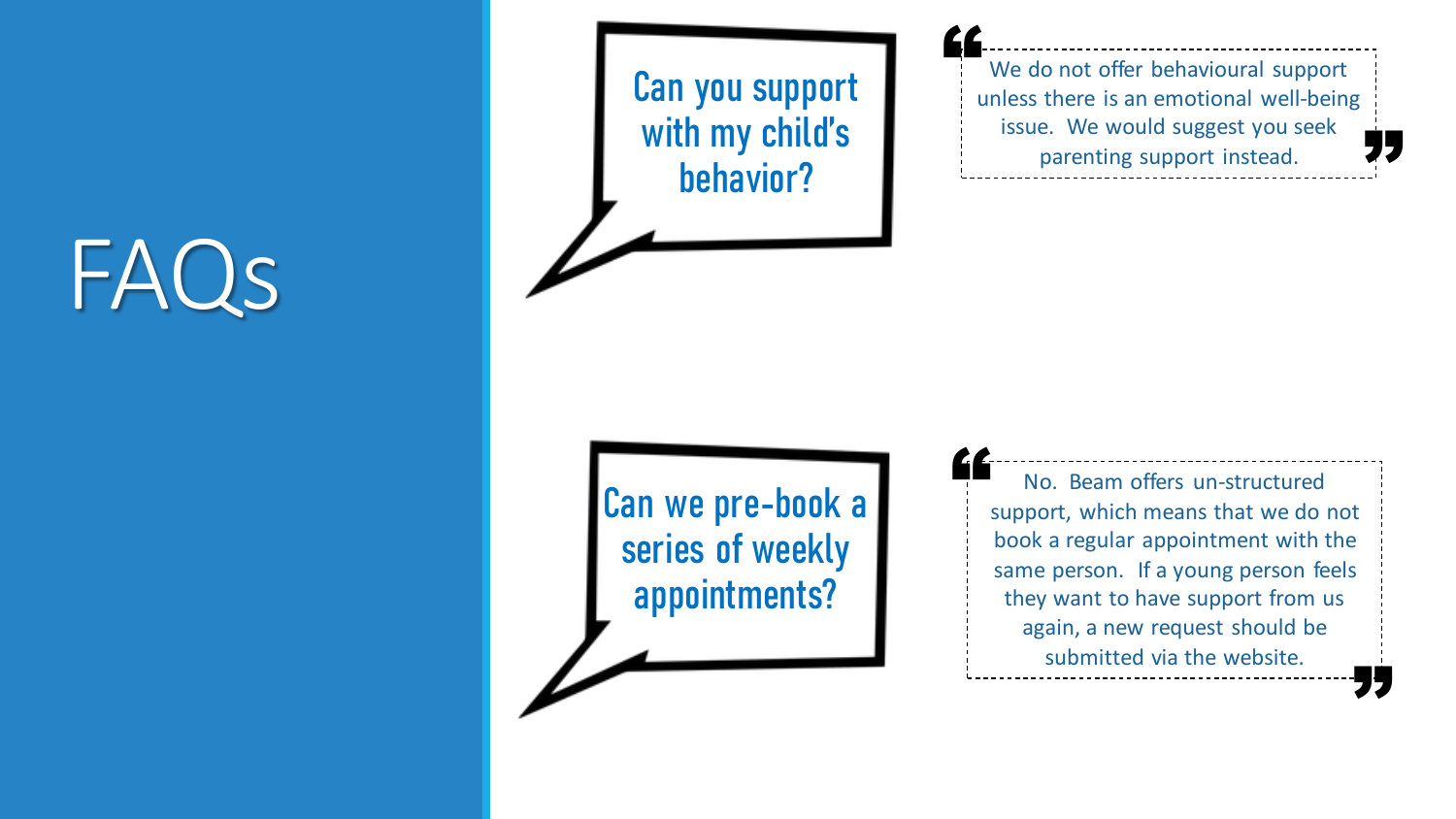Can you support with my child's behavior?

We do not offer behavioural support unless there is an emotional well -being issue. We would suggest you seek parenting support instead. " **"** 

Can we pre -book a series of weekly appointments?

No. Beam offers un -structured support, which means that we do not book a regular appointment with the same person. If a young person feels they want to have support from us again, a new request should be submitted via the website. " **"**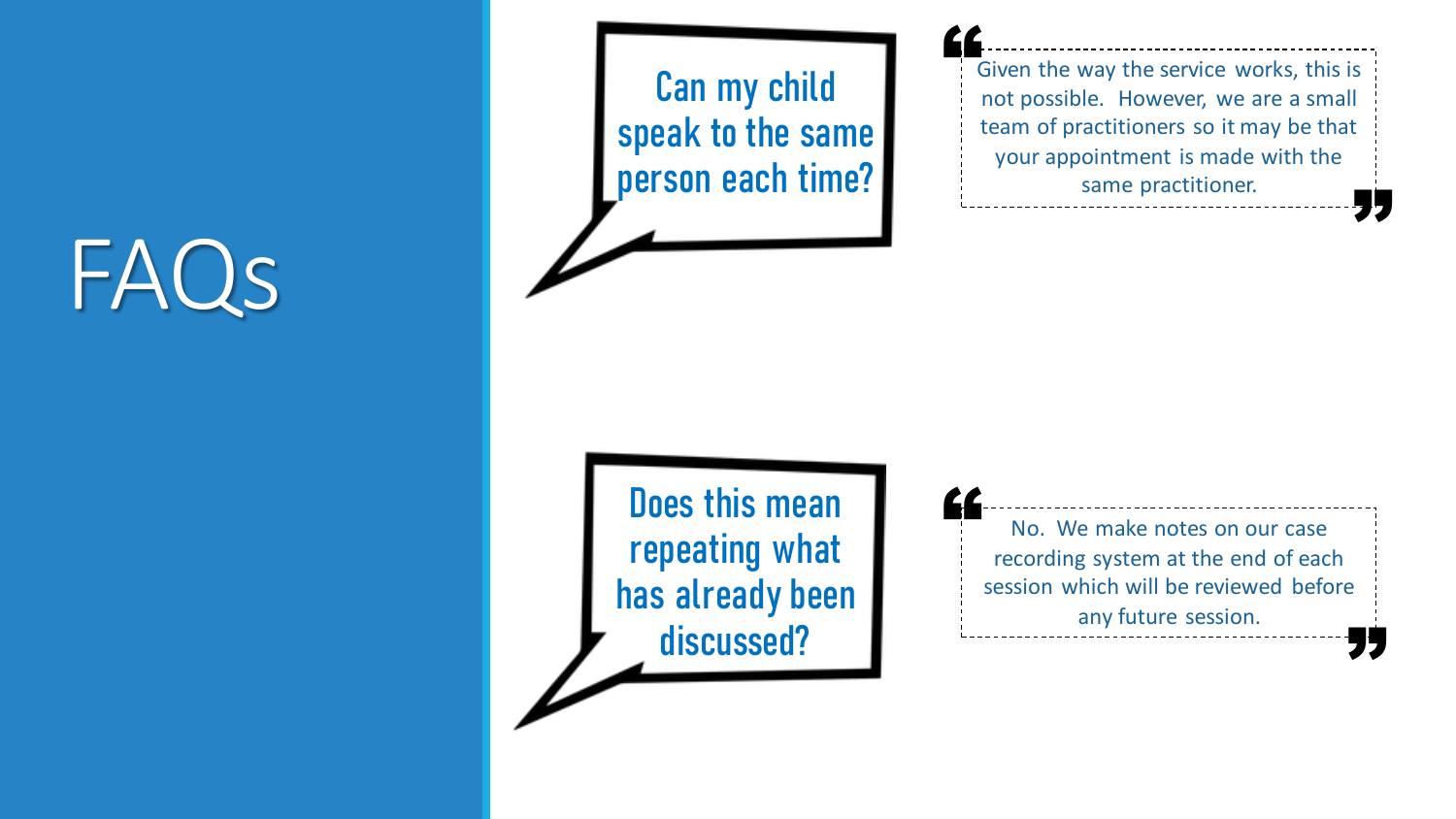Can my child speak to the same person each time?

Given the way the service works, this is not possible. However, we are a small team of practitioners so it may be that your appointment is made with the same practitioner. " **"** 

Does this mean repeating what has already been discussed?

No. We make notes on our case recording system at the end of each session which will be reviewed before any future session. " **"**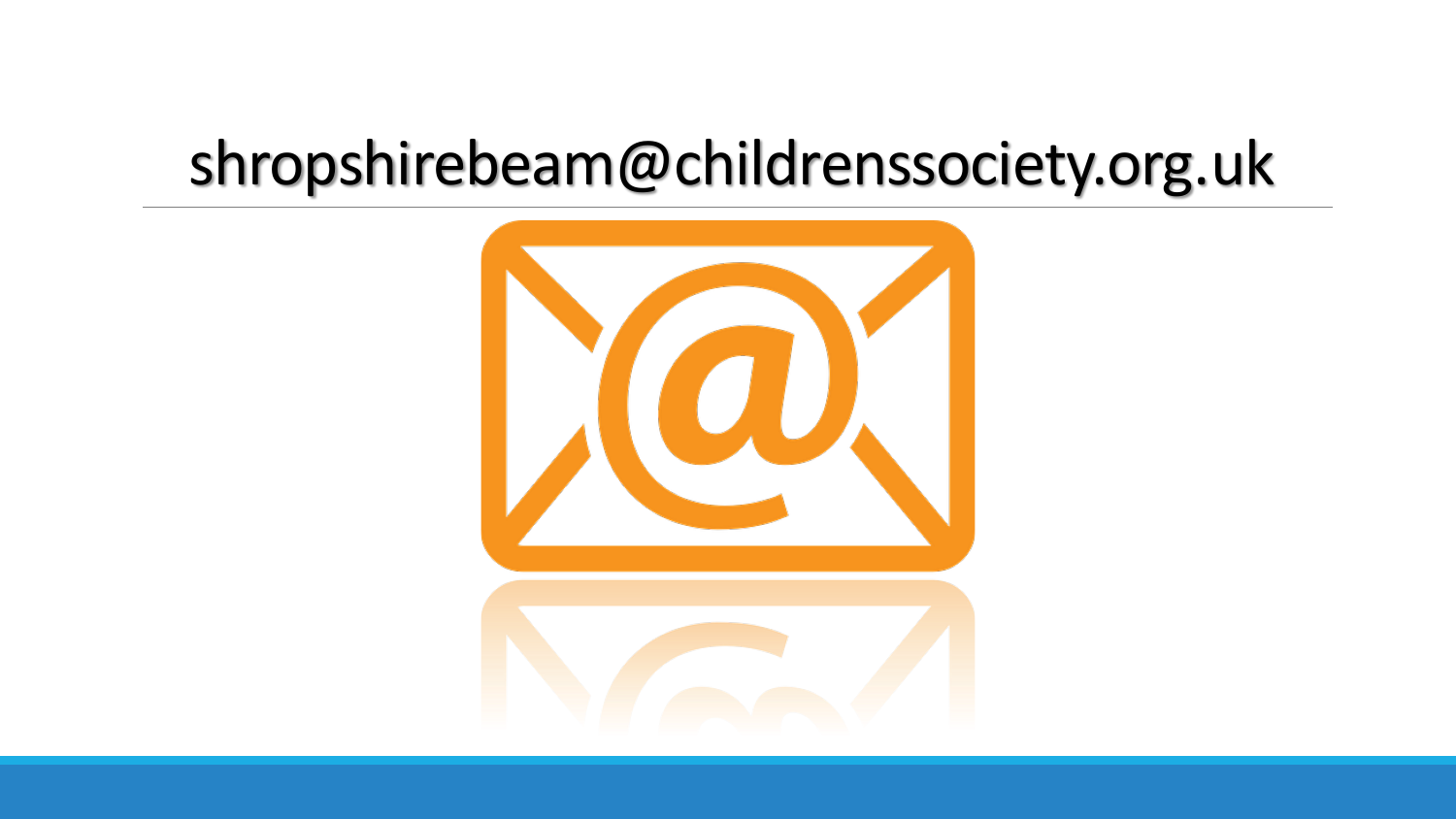### shropshirebeam@childrenssociety.org.uk